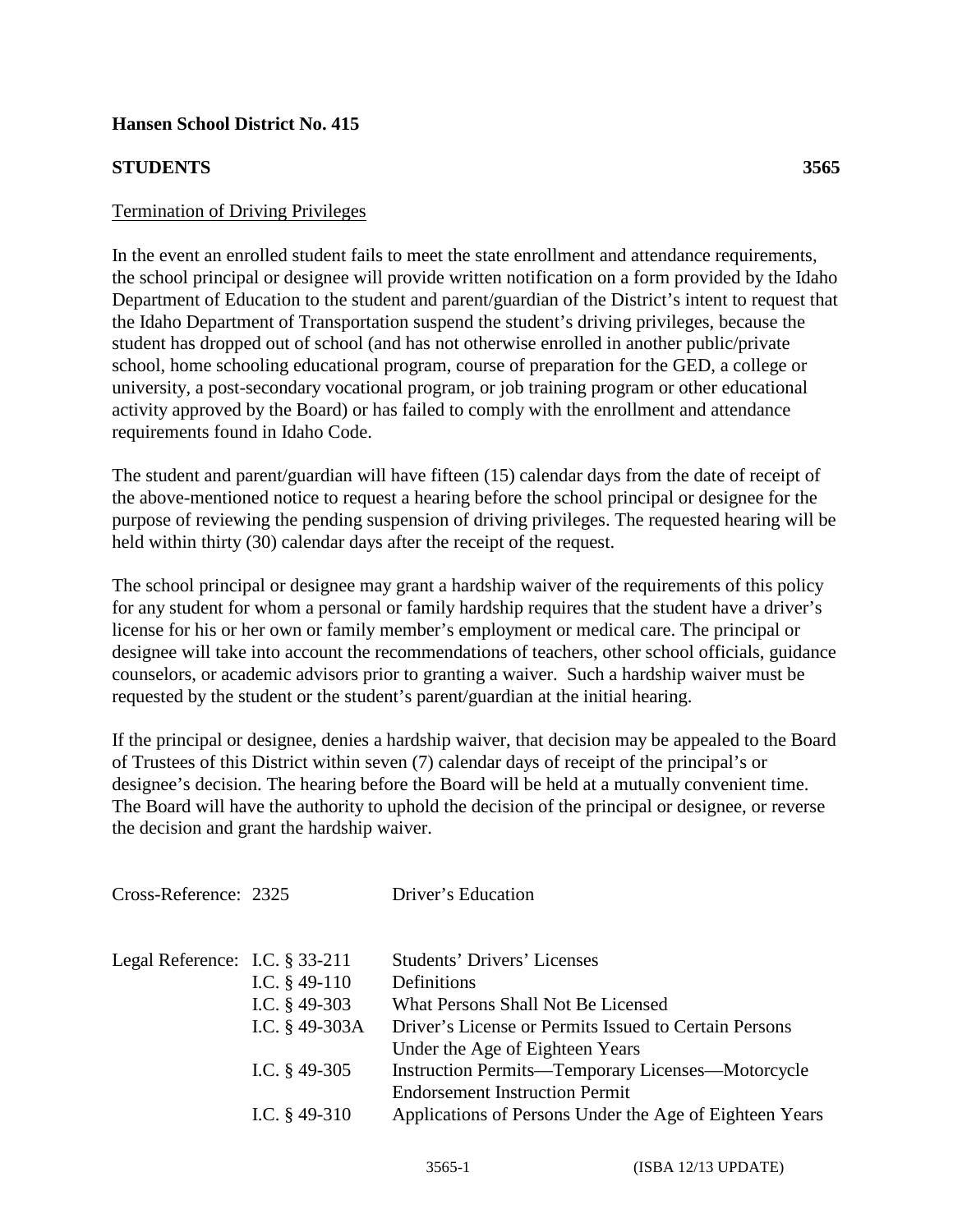## **Hansen School District No. 415**

## **STUDENTS 3565**

In the event an enrolled student fails to meet the state enrollment and attendance requirements, the school principal or designee will provide written notification on a form provided by the Idaho Department of Education to the student and parent/guardian of the District's intent to request that the Idaho Department of Transportation suspend the student's driving privileges, because the student has dropped out of school (and has not otherwise enrolled in another public/private school, home schooling educational program, course of preparation for the GED, a college or university, a post-secondary vocational program, or job training program or other educational activity approved by the Board) or has failed to comply with the enrollment and attendance requirements found in Idaho Code.

The student and parent/guardian will have fifteen (15) calendar days from the date of receipt of the above-mentioned notice to request a hearing before the school principal or designee for the purpose of reviewing the pending suspension of driving privileges. The requested hearing will be held within thirty (30) calendar days after the receipt of the request.

The school principal or designee may grant a hardship waiver of the requirements of this policy for any student for whom a personal or family hardship requires that the student have a driver's license for his or her own or family member's employment or medical care. The principal or designee will take into account the recommendations of teachers, other school officials, guidance counselors, or academic advisors prior to granting a waiver. Such a hardship waiver must be requested by the student or the student's parent/guardian at the initial hearing.

If the principal or designee, denies a hardship waiver, that decision may be appealed to the Board of Trustees of this District within seven (7) calendar days of receipt of the principal's or designee's decision. The hearing before the Board will be held at a mutually convenient time. The Board will have the authority to uphold the decision of the principal or designee, or reverse the decision and grant the hardship waiver.

| Cross-Reference: 2325             |                  | Driver's Education                                      |
|-----------------------------------|------------------|---------------------------------------------------------|
| Legal Reference: I.C. $\S 33-211$ |                  | <b>Students' Drivers' Licenses</b>                      |
|                                   | I.C. $§$ 49-110  | Definitions                                             |
|                                   | I.C. $§$ 49-303  | What Persons Shall Not Be Licensed                      |
|                                   | I.C. $§$ 49-303A | Driver's License or Permits Issued to Certain Persons   |
|                                   |                  | Under the Age of Eighteen Years                         |
|                                   | I.C. $§$ 49-305  | Instruction Permits-Temporary Licenses-Motorcycle       |
|                                   |                  | <b>Endorsement Instruction Permit</b>                   |
|                                   | I.C. $§$ 49-310  | Applications of Persons Under the Age of Eighteen Years |